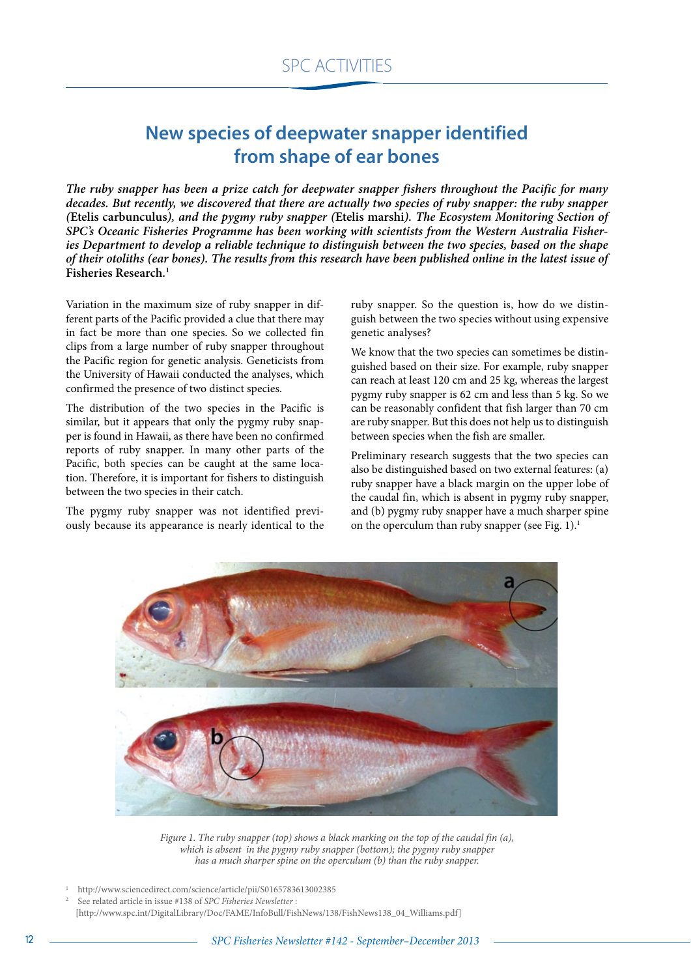## **New species of deepwater snapper identified from shape of ear bones**

*The ruby snapper has been a prize catch for deepwater snapper fishers throughout the Pacific for many decades. But recently, we discovered that there are actually two species of ruby snapper: the ruby snapper (***Etelis carbunculus***), and the pygmy ruby snapper (***Etelis marshi***). The Ecosystem Monitoring Section of SPC's Oceanic Fisheries Programme has been working with scientists from the Western Australia Fisheries Department to develop a reliable technique to distinguish between the two species, based on the shape of their otoliths (ear bones). The results from this research have been published online in the latest issue of*  **Fisheries Research***.* **1**

Variation in the maximum size of ruby snapper in different parts of the Pacific provided a clue that there may in fact be more than one species. So we collected fin clips from a large number of ruby snapper throughout the Pacific region for genetic analysis. Geneticists from the University of Hawaii conducted the analyses, which confirmed the presence of two distinct species.

The distribution of the two species in the Pacific is similar, but it appears that only the pygmy ruby snapper is found in Hawaii, as there have been no confirmed reports of ruby snapper. In many other parts of the Pacific, both species can be caught at the same location. Therefore, it is important for fishers to distinguish between the two species in their catch.

The pygmy ruby snapper was not identified previously because its appearance is nearly identical to the ruby snapper. So the question is, how do we distinguish between the two species without using expensive genetic analyses?

We know that the two species can sometimes be distinguished based on their size. For example, ruby snapper can reach at least 120 cm and 25 kg, whereas the largest pygmy ruby snapper is 62 cm and less than 5 kg. So we can be reasonably confident that fish larger than 70 cm are ruby snapper. But this does not help us to distinguish between species when the fish are smaller.

Preliminary research suggests that the two species can also be distinguished based on two external features: (a) ruby snapper have a black margin on the upper lobe of the caudal fin, which is absent in pygmy ruby snapper, and (b) pygmy ruby snapper have a much sharper spine on the operculum than ruby snapper (see Fig. 1).<sup>1</sup>



*Figure 1. The ruby snapper (top) shows a black marking on the top of the caudal fin (a), which is absent in the pygmy ruby snapper (bottom); the pygmy ruby snapper has a much sharper spine on the operculum (b) than the ruby snapper.*

1 http://www.sciencedirect.com/science/article/pii/S0165783613002385

<sup>2</sup> See related article in issue #138 of *SPC Fisheries Newsletter* :

<sup>[</sup>http://www.spc.int/DigitalLibrary/Doc/FAME/InfoBull/FishNews/138/FishNews138\_04\_Williams.pdf]